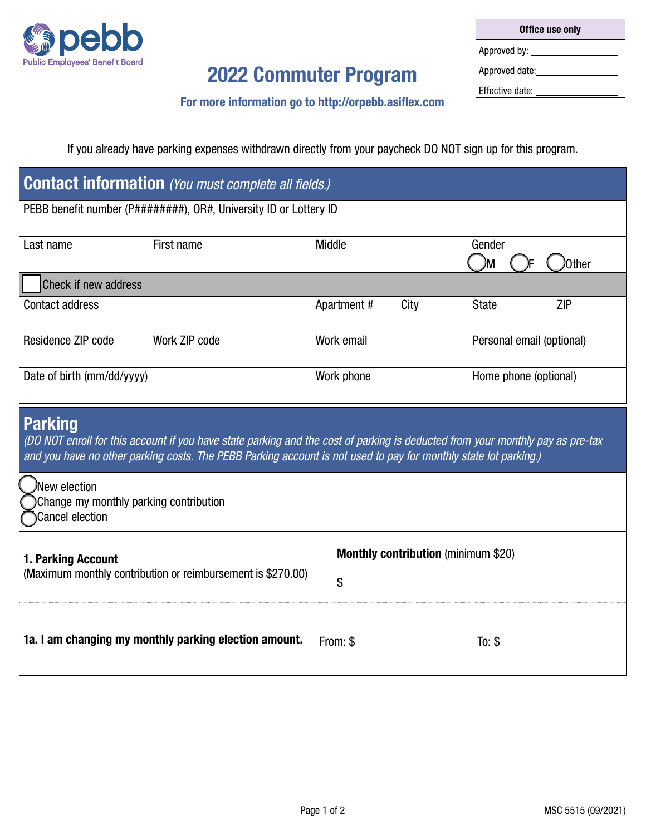

# 2022 Commuter Program

| Office use only |  |  |  |
|-----------------|--|--|--|
| Approved by:    |  |  |  |
| Approved date:  |  |  |  |
| Effective date: |  |  |  |

For more information go to http://orpebb.asiflex.com

If you already have parking expenses withdrawn directly from your paycheck DO NOT sign up for this program.

| <b>Contact information</b> (You must complete all fields.)                                                                                                                                                                                                           |                                                       |                                                  |                            |  |
|----------------------------------------------------------------------------------------------------------------------------------------------------------------------------------------------------------------------------------------------------------------------|-------------------------------------------------------|--------------------------------------------------|----------------------------|--|
| PEBB benefit number (P#########), OR#, University ID or Lottery ID                                                                                                                                                                                                   |                                                       |                                                  |                            |  |
| Last name                                                                                                                                                                                                                                                            | First name                                            | Middle                                           | Gender<br>JМ<br>Other      |  |
| Check if new address                                                                                                                                                                                                                                                 |                                                       |                                                  |                            |  |
| <b>Contact address</b>                                                                                                                                                                                                                                               |                                                       | Apartment#<br>City                               | <b>ZIP</b><br><b>State</b> |  |
| Residence ZIP code                                                                                                                                                                                                                                                   | Work ZIP code                                         | Work email                                       | Personal email (optional)  |  |
| Date of birth (mm/dd/yyyy)                                                                                                                                                                                                                                           |                                                       | Work phone                                       | Home phone (optional)      |  |
| <b>Parking</b><br>(DO NOT enroll for this account if you have state parking and the cost of parking is deducted from your monthly pay as pre-tax<br>and you have no other parking costs. The PEBB Parking account is not used to pay for monthly state lot parking.) |                                                       |                                                  |                            |  |
| Wew election<br>Change my monthly parking contribution<br><b>Cancel election</b>                                                                                                                                                                                     |                                                       |                                                  |                            |  |
| 1. Parking Account<br>(Maximum monthly contribution or reimbursement is \$270.00)                                                                                                                                                                                    |                                                       | <b>Monthly contribution</b> (minimum \$20)<br>\$ |                            |  |
|                                                                                                                                                                                                                                                                      | 1a. I am changing my monthly parking election amount. | From: \$                                         | To: $$$                    |  |